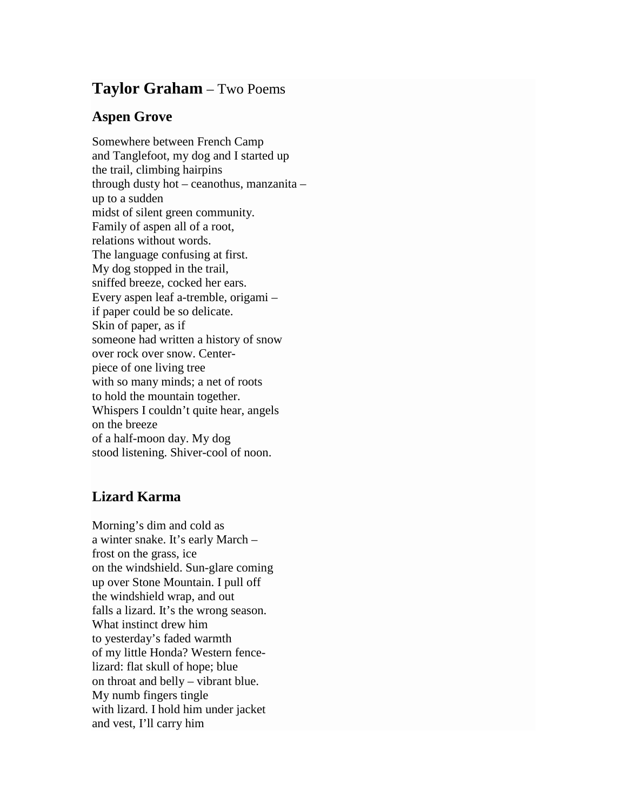## **Taylor Graham** – Two Poems

## **Aspen Grove**

Somewhere between French Camp and Tanglefoot, my dog and I started up the trail, climbing hairpins through dusty hot – ceanothus, manzanita – up to a sudden midst of silent green community. Family of aspen all of a root, relations without words. The language confusing at first. My dog stopped in the trail, sniffed breeze, cocked her ears. Every aspen leaf a-tremble, origami – if paper could be so delicate. Skin of paper, as if someone had written a history of snow over rock over snow. Centerpiece of one living tree with so many minds; a net of roots to hold the mountain together. Whispers I couldn't quite hear, angels on the breeze of a half-moon day. My dog stood listening. Shiver-cool of noon.

## **Lizard Karma**

Morning's dim and cold as a winter snake. It's early March – frost on the grass, ice on the windshield. Sun-glare coming up over Stone Mountain. I pull off the windshield wrap, and out falls a lizard. It's the wrong season. What instinct drew him to yesterday's faded warmth of my little Honda? Western fencelizard: flat skull of hope; blue on throat and belly – vibrant blue. My numb fingers tingle with lizard. I hold him under jacket and vest, I'll carry him